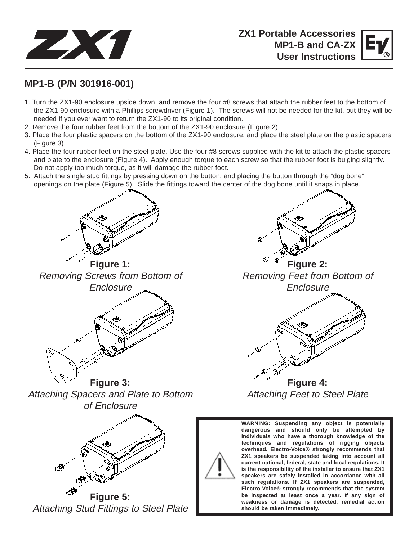



## **MP1-B (P/N 301916-001)**

- 1. Turn the ZX1-90 enclosure upside down, and remove the four #8 screws that attach the rubber feet to the bottom of the ZX1-90 enclosure with a Phillips screwdriver (Figure 1). The screws will not be needed for the kit, but they will be needed if you ever want to return the ZX1-90 to its original condition.
- 2. Remove the four rubber feet from the bottom of the ZX1-90 enclosure (Figure 2).
- 3. Place the four plastic spacers on the bottom of the ZX1-90 enclosure, and place the steel plate on the plastic spacers (Figure 3).
- 4. Place the four rubber feet on the steel plate. Use the four #8 screws supplied with the kit to attach the plastic spacers and plate to the enclosure (Figure 4). Apply enough torque to each screw so that the rubber foot is bulging slightly. Do not apply too much torque, as it will damage the rubber foot.
- 5. Attach the single stud fittings by pressing down on the button, and placing the button through the "dog bone" openings on the plate (Figure 5). Slide the fittings toward the center of the dog bone until it snaps in place.



**Figure 1:** Removing Screws from Bottom of **Enclosure** 



**Figure 3:** Attaching Spacers and Plate to Bottom of Enclosure



**Figure 5:** Attaching Stud Fittings to Steel Plate



**Figure 2:** Removing Feet from Bottom of **Enclosure** 



Attaching Feet to Steel Plate



**WARNING: Suspending any object is potentially dangerous and should only be attempted by individuals who have a thorough knowledge of the techniques and regulations of rigging objects overhead. Electro-Voice® strongly recommends that ZX1 speakers be suspended taking into account all current national, federal, state and local regulations. It is the responsibility of the installer to ensure that ZX1 speakers are safely installed in accordance with all such regulations. If ZX1 speakers are suspended, Electro-Voice® strongly recommends that the system be inspected at least once a year. If any sign of weakness or damage is detected, remedial action should be taken immediately.**